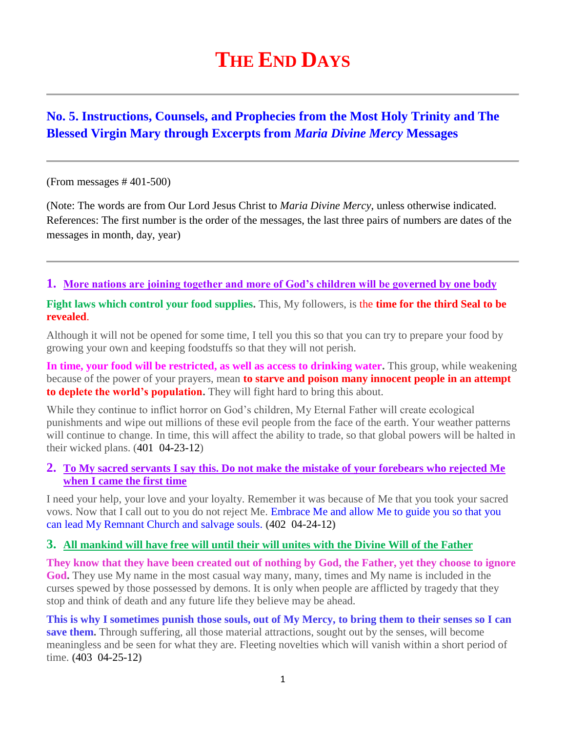# **THE END DAYS**

# **No. 5. Instructions, Counsels, and Prophecies from the Most Holy Trinity and The Blessed Virgin Mary through Excerpts from** *Maria Divine Mercy* **Messages**

(From messages # 401-500)

(Note: The words are from Our Lord Jesus Christ to *Maria Divine Mercy*, unless otherwise indicated. References: The first number is the order of the messages, the last three pairs of numbers are dates of the messages in month, day, year)

#### **1. [More nations are joining together and more of God's children will be governed by one body](http://www.thewarningsecondcoming.com/more-nations-are-joining-together-and-more-of-gods-children-will-be-governed-by-one-body/)**

**Fight laws which control your food supplies.** This, My followers, is the **time for the third Seal to be revealed**.

Although it will not be opened for some time, I tell you this so that you can try to prepare your food by growing your own and keeping foodstuffs so that they will not perish.

**In time, your food will be restricted, as well as access to drinking water.** This group, while weakening because of the power of your prayers, mean **to starve and poison many innocent people in an attempt to deplete the world's population.** They will fight hard to bring this about.

While they continue to inflict horror on God's children, My Eternal Father will create ecological punishments and wipe out millions of these evil people from the face of the earth. Your weather patterns will continue to change. In time, this will affect the ability to trade, so that global powers will be halted in their wicked plans. (401 04-23-12)

#### **2. [To My sacred servants I say this. Do not make the mistake of your forebears who rejected Me](http://www.thewarningsecondcoming.com/to-my-sacred-servants-i-say-this-do-not-make-the-mistake-of-your-forebears-who-rejected-me-when-i-came-the-first-time/)  [when I came the first time](http://www.thewarningsecondcoming.com/to-my-sacred-servants-i-say-this-do-not-make-the-mistake-of-your-forebears-who-rejected-me-when-i-came-the-first-time/)**

I need your help, your love and your loyalty. Remember it was because of Me that you took your sacred vows. Now that I call out to you do not reject Me. Embrace Me and allow Me to guide you so that you can lead My Remnant Church and salvage souls. **(**402 04-24-12**)**

#### **3. [All mankind will have free will until their will unites with the Divine Will of the Father](http://www.thewarningsecondcoming.com/all-mankind-will-have-free-will-until-their-will-unites-with-the-divine-will-of-the-father/)**

**They know that they have been created out of nothing by God, the Father, yet they choose to ignore God.** They use My name in the most casual way many, many, times and My name is included in the curses spewed by those possessed by demons. It is only when people are afflicted by tragedy that they stop and think of death and any future life they believe may be ahead.

**This is why I sometimes punish those souls, out of My Mercy, to bring them to their senses so I can save them.** Through suffering, all those material attractions, sought out by the senses, will become meaningless and be seen for what they are. Fleeting novelties which will vanish within a short period of time. **(**403 04-25-12**)**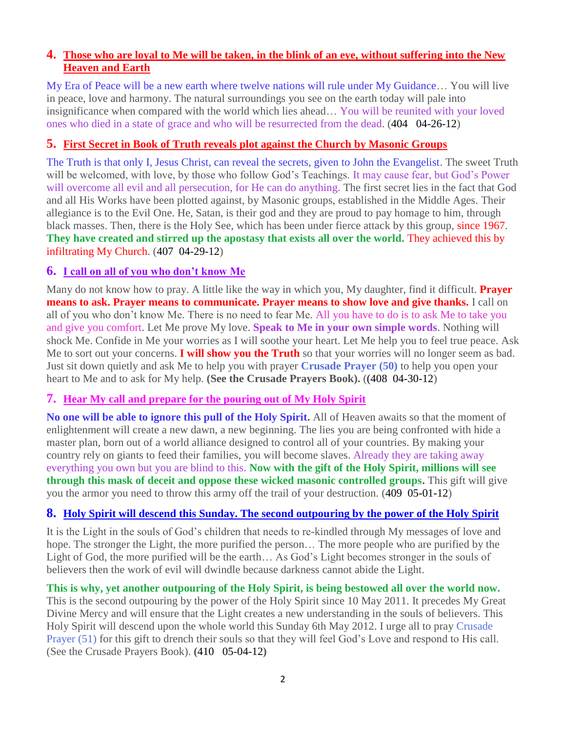# **4. [Those who are loyal to Me will be taken, in the blink of an eye, without suffering into the New](http://www.thewarningsecondcoming.com/those-who-are-loyal-to-me-will-be-taken-in-the-blink-of-an-eye-without-suffering-into-the-new-heaven-and-earth/)  [Heaven and Earth](http://www.thewarningsecondcoming.com/those-who-are-loyal-to-me-will-be-taken-in-the-blink-of-an-eye-without-suffering-into-the-new-heaven-and-earth/)**

My Era of Peace will be a new earth where twelve nations will rule under My Guidance… You will live in peace, love and harmony. The natural surroundings you see on the earth today will pale into insignificance when compared with the world which lies ahead… You will be reunited with your loved ones who died in a state of grace and who will be resurrected from the dead. (404 04-26-12)

# **5. [First Secret in Book of Truth reveals plot against the Church by Masonic Groups](http://www.thewarningsecondcoming.com/first-secret-in-book-of-truth-reveals-plot-against-the-church-by-masonic-groups/)**

The Truth is that only I, Jesus Christ, can reveal the secrets, given to John the Evangelist. The sweet Truth will be welcomed, with love, by those who follow God's Teachings. It may cause fear, but God's Power will overcome all evil and all persecution, for He can do anything. The first secret lies in the fact that God and all His Works have been plotted against, by Masonic groups, established in the Middle Ages. Their allegiance is to the Evil One. He, Satan, is their god and they are proud to pay homage to him, through black masses. Then, there is the Holy See, which has been under fierce attack by this group, since 1967. **They have created and stirred up the apostasy that exists all over the world.** They achieved this by infiltrating My Church. (407 04-29-12)

## **6. [I call on all of you who don't know Me](http://www.thewarningsecondcoming.com/i-call-on-all-of-you-who-dont-know-me/)**

Many do not know how to pray. A little like the way in which you, My daughter, find it difficult. **Prayer means to ask. Prayer means to communicate. Prayer means to show love and give thanks.** I call on all of you who don't know Me. There is no need to fear Me. All you have to do is to ask Me to take you and give you comfort. Let Me prove My love. **Speak to Me in your own simple words**. Nothing will shock Me. Confide in Me your worries as I will soothe your heart. Let Me help you to feel true peace. Ask Me to sort out your concerns. **I will show you the Truth** so that your worries will no longer seem as bad. Just sit down quietly and ask Me to help you with prayer **Crusade Prayer (50)** to help you open your heart to Me and to ask for My help. **(See the Crusade Prayers Book).** ((408 04-30-12)

## **7. [Hear My call and prepare for the pouring out of My Holy Spirit](http://www.thewarningsecondcoming.com/hear-my-call-and-prepare-for-the-pouring-out-of-my-holy-spirit/)**

**No one will be able to ignore this pull of the Holy Spirit.** All of Heaven awaits so that the moment of enlightenment will create a new dawn, a new beginning. The lies you are being confronted with hide a master plan, born out of a world alliance designed to control all of your countries. By making your country rely on giants to feed their families, you will become slaves. Already they are taking away everything you own but you are blind to this. **Now with the gift of the Holy Spirit, millions will see through this mask of deceit and oppose these wicked masonic controlled groups.** This gift will give you the armor you need to throw this army off the trail of your destruction. (409 05-01-12)

# **8. [Holy Spirit will descend this Sunday. The second outpouring by the power of the Holy Spirit](http://www.thewarningsecondcoming.com/holy-spirit-will-descend-this-sunday-the-second-outpouring-by-the-power-of-the-holy-spirit/)**

It is the Light in the souls of God's children that needs to re-kindled through My messages of love and hope. The stronger the Light, the more purified the person… The more people who are purified by the Light of God, the more purified will be the earth… As God's Light becomes stronger in the souls of believers then the work of evil will dwindle because darkness cannot abide the Light.

## **This is why, yet another outpouring of the Holy Spirit, is being bestowed all over the world now.**

This is the second outpouring by the power of the Holy Spirit since 10 May 2011. It precedes My Great Divine Mercy and will ensure that the Light creates a new understanding in the souls of believers. This Holy Spirit will descend upon the whole world this Sunday 6th May 2012. I urge all to pray Crusade Prayer (51) for this gift to drench their souls so that they will feel God's Love and respond to His call. (See the Crusade Prayers Book). **(**410 05-04-12**)**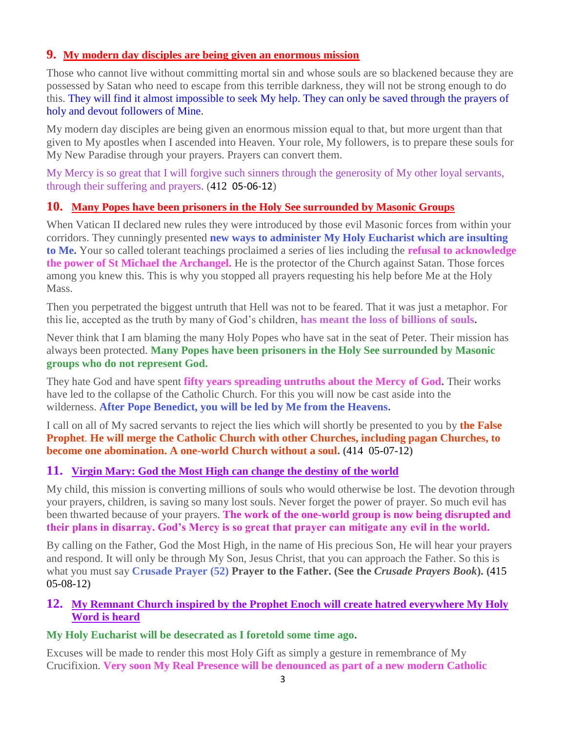# **9. [My modern day disciples are being given an enormous mission](http://www.thewarningsecondcoming.com/my-modern-day-disciples-are-being-given-an-enormous-mission/)**

Those who cannot live without committing mortal sin and whose souls are so blackened because they are possessed by Satan who need to escape from this terrible darkness, they will not be strong enough to do this. They will find it almost impossible to seek My help. They can only be saved through the prayers of holy and devout followers of Mine.

My modern day disciples are being given an enormous mission equal to that, but more urgent than that given to My apostles when I ascended into Heaven. Your role, My followers, is to prepare these souls for My New Paradise through your prayers. Prayers can convert them.

My Mercy is so great that I will forgive such sinners through the generosity of My other loyal servants, through their suffering and prayers. (412 05-06-12)

## **10. [Many Popes have been prisoners in the Holy See surrounded by Masonic Groups](http://www.thewarningsecondcoming.com/many-popes-have-been-prisoners-in-the-holy-see-surrounded-by-masonic-groups/)**

When Vatican II declared new rules they were introduced by those evil Masonic forces from within your corridors. They cunningly presented **new ways to administer My Holy Eucharist which are insulting to Me.** Your so called tolerant teachings proclaimed a series of lies including the **refusal to acknowledge the power of St Michael the Archangel.** He is the protector of the Church against Satan. Those forces among you knew this. This is why you stopped all prayers requesting his help before Me at the Holy Mass.

Then you perpetrated the biggest untruth that Hell was not to be feared. That it was just a metaphor. For this lie, accepted as the truth by many of God's children, **has meant the loss of billions of souls.**

Never think that I am blaming the many Holy Popes who have sat in the seat of Peter. Their mission has always been protected. **Many Popes have been prisoners in the Holy See surrounded by Masonic groups who do not represent God.**

They hate God and have spent **fifty years spreading untruths about the Mercy of God.** Their works have led to the collapse of the Catholic Church. For this you will now be cast aside into the wilderness. **After Pope Benedict, you will be led by Me from the Heavens.**

I call on all of My sacred servants to reject the lies which will shortly be presented to you by **the False Prophet**. **He will merge the Catholic Church with other Churches, including pagan Churches, to become one abomination. A one-world Church without a soul. (**414 05-07-12**)**

## **11. Virgin Mary: God the Most High [can change the destiny of the world](http://www.thewarningsecondcoming.com/virgin-mary-god-the-most-high-can-change-the-destiny-of-the-world/)**

My child, this mission is converting millions of souls who would otherwise be lost. The devotion through your prayers, children, is saving so many lost souls. Never forget the power of prayer. So much evil has been thwarted because of your prayers. **The work of the one-world group is now being disrupted and their plans in disarray. God's Mercy is so great that prayer can mitigate any evil in the world.**

By calling on the Father, God the Most High, in the name of His precious Son, He will hear your prayers and respond. It will only be through My Son, Jesus Christ, that you can approach the Father. So this is what you must say **Crusade Prayer (52) Prayer to the Father. (See the** *Crusade Prayers Book***). (**415 05-08-12**)**

## **12. [My Remnant Church inspired by the Prophet Enoch will create hatred everywhere My Holy](http://www.thewarningsecondcoming.com/my-remnant-church-inspired-by-the-prophet-enoch-will-create-hatred-everywhere-my-holy-word-is-heard/)  [Word is heard](http://www.thewarningsecondcoming.com/my-remnant-church-inspired-by-the-prophet-enoch-will-create-hatred-everywhere-my-holy-word-is-heard/)**

## **My Holy Eucharist will be desecrated as I foretold some time ago.**

Excuses will be made to render this most Holy Gift as simply a gesture in remembrance of My Crucifixion. **Very soon My Real Presence will be denounced as part of a new modern Catholic**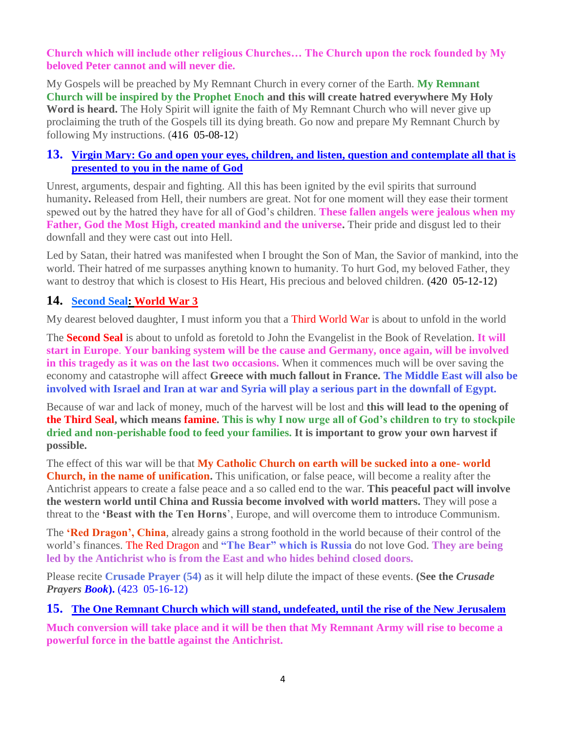**Church which will include other religious Churches… The Church upon the rock founded by My beloved Peter cannot and will never die.**

My Gospels will be preached by My Remnant Church in every corner of the Earth. **My Remnant Church will be inspired by the Prophet Enoch and this will create hatred everywhere My Holy Word is heard.** The Holy Spirit will ignite the faith of My Remnant Church who will never give up proclaiming the truth of the Gospels till its dying breath. Go now and prepare My Remnant Church by following My instructions. (416 05-08-12)

# **13. Virgin Mary: Go [and open your eyes, children, and listen, question and contemplate all that is](http://www.thewarningsecondcoming.com/virgin-mary-go-and-open-your-eyes-children-and-listen-question-and-contemplate-all-that-is-presented-to-you-in-the-name-of-god/)  [presented to you in the name of God](http://www.thewarningsecondcoming.com/virgin-mary-go-and-open-your-eyes-children-and-listen-question-and-contemplate-all-that-is-presented-to-you-in-the-name-of-god/)**

Unrest, arguments, despair and fighting. All this has been ignited by the evil spirits that surround humanity**.** Released from Hell, their numbers are great. Not for one moment will they ease their torment spewed out by the hatred they have for all of God's children. **These fallen angels were jealous when my Father, God the Most High, created mankind and the universe.** Their pride and disgust led to their downfall and they were cast out into Hell.

Led by Satan, their hatred was manifested when I brought the Son of Man, the Savior of mankind, into the world. Their hatred of me surpasses anything known to humanity. To hurt God, my beloved Father, they want to destroy that which is closest to His Heart, His precious and beloved children. **(**420 05-12-12**)**

# **14. [Second Seal: World War 3](http://www.thewarningsecondcoming.com/second-seal-world-war-3/)**

My dearest beloved daughter, I must inform you that a Third World War is about to unfold in the world

The **Second Seal** is about to unfold as foretold to John the Evangelist in the Book of Revelation. **It will start in Europe**. **Your banking system will be the cause and Germany, once again, will be involved in this tragedy as it was on the last two occasions.** When it commences much will be over saving the economy and catastrophe will affect **Greece with much fallout in France. The Middle East will also be involved with Israel and Iran at war and Syria will play a serious part in the downfall of Egypt.**

Because of war and lack of money, much of the harvest will be lost and **this will lead to the opening of the Third Seal, which means famine. This is why I now urge all of God's children to try to stockpile dried and non-perishable food to feed your families. It is important to grow your own harvest if possible.**

The effect of this war will be that **My Catholic Church on earth will be sucked into a one- world Church, in the name of unification.** This unification, or false peace, will become a reality after the Antichrist appears to create a false peace and a so called end to the war. **This peaceful pact will involve the western world until China and Russia become involved with world matters.** They will pose a threat to the **'Beast with the Ten Horns**', Europe, and will overcome them to introduce Communism.

The **'Red Dragon', China**, already gains a strong foothold in the world because of their control of the world's finances. The Red Dragon and **"The Bear" which is Russia** do not love God. **They are being led by the Antichrist who is from the East and who hides behind closed doors.**

Please recite **Crusade Prayer (54)** as it will help dilute the impact of these events. **(See the** *Crusade Prayers Book***).** (423 05-16-12)

#### **15. The [One Remnant Church which will stand, undefeated, until the rise of the New Jerusalem](http://www.thewarningsecondcoming.com/the-one-remnant-church-which-will-stand-undefeated-until-the-rise-of-the-new-jerusalem/)**

**Much conversion will take place and it will be then that My Remnant Army will rise to become a powerful force in the battle against the Antichrist.**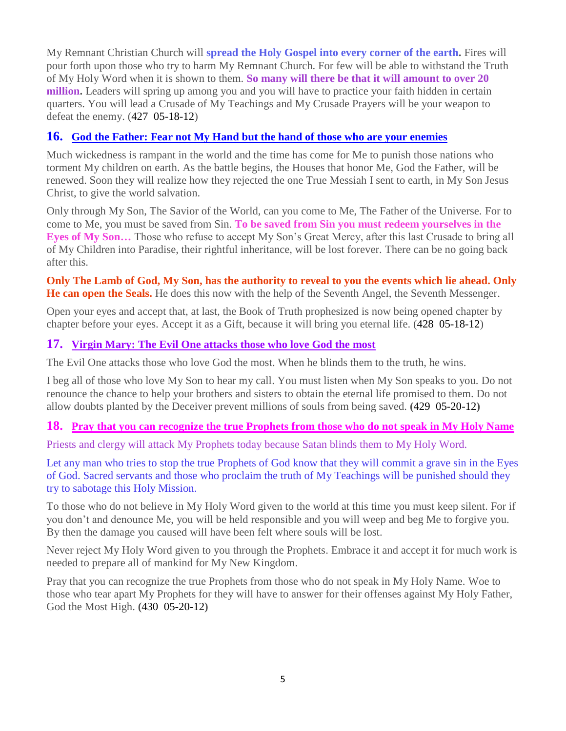My Remnant Christian Church will **spread the Holy Gospel into every corner of the earth.** Fires will pour forth upon those who try to harm My Remnant Church. For few will be able to withstand the Truth of My Holy Word when it is shown to them. **So many will there be that it will amount to over 20 million.** Leaders will spring up among you and you will have to practice your faith hidden in certain quarters. You will lead a Crusade of My Teachings and My Crusade Prayers will be your weapon to defeat the enemy. (427 05-18-12)

# **16. [God the Father: Fear not My Hand but the hand of those who are your enemies](http://www.thewarningsecondcoming.com/god-the-father-fear-not-my-hand-but-the-hand-of-those-who-are-your-enemies/)**

Much wickedness is rampant in the world and the time has come for Me to punish those nations who torment My children on earth. As the battle begins, the Houses that honor Me, God the Father, will be renewed. Soon they will realize how they rejected the one True Messiah I sent to earth, in My Son Jesus Christ, to give the world salvation.

Only through My Son, The Savior of the World, can you come to Me, The Father of the Universe. For to come to Me, you must be saved from Sin. **To be saved from Sin you must redeem yourselves in the Eyes of My Son…** Those who refuse to accept My Son's Great Mercy, after this last Crusade to bring all of My Children into Paradise, their rightful inheritance, will be lost forever. There can be no going back after this.

## **Only The Lamb of God, My Son, has the authority to reveal to you the events which lie ahead. Only He can open the Seals.** He does this now with the help of the Seventh Angel, the Seventh Messenger.

Open your eyes and accept that, at last, the Book of Truth prophesized is now being opened chapter by chapter before your eyes. Accept it as a Gift, because it will bring you eternal life. (428 05-18-12)

# **17. [Virgin Mary: The Evil One attacks those who love God the](http://www.thewarningsecondcoming.com/virgin-mary-the-evil-one-attacks-those-who-love-god-the-most/) most**

The Evil One attacks those who love God the most. When he blinds them to the truth, he wins.

I beg all of those who love My Son to hear my call. You must listen when My Son speaks to you. Do not renounce the chance to help your brothers and sisters to obtain the eternal life promised to them. Do not allow doubts planted by the Deceiver prevent millions of souls from being saved. **(**429 05-20-12**)**

# **18. [Pray that you can recognize the true Prophets from those who do not speak in My Holy Name](http://www.thewarningsecondcoming.com/pray-that-you-can-recognise-the-true-prophets-from-those-who-do-not-speak-in-my-holy-name/)**

Priests and clergy will attack My Prophets today because Satan blinds them to My Holy Word.

Let any man who tries to stop the true Prophets of God know that they will commit a grave sin in the Eyes of God. Sacred servants and those who proclaim the truth of My Teachings will be punished should they try to sabotage this Holy Mission.

To those who do not believe in My Holy Word given to the world at this time you must keep silent. For if you don't and denounce Me, you will be held responsible and you will weep and beg Me to forgive you. By then the damage you caused will have been felt where souls will be lost.

Never reject My Holy Word given to you through the Prophets. Embrace it and accept it for much work is needed to prepare all of mankind for My New Kingdom.

Pray that you can recognize the true Prophets from those who do not speak in My Holy Name. Woe to those who tear apart My Prophets for they will have to answer for their offenses against My Holy Father, God the Most High. **(**430 05-20-12**)**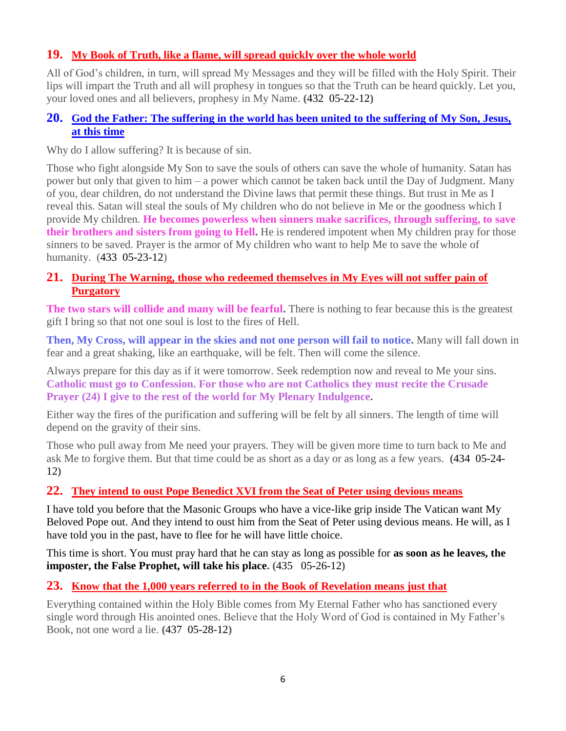# **19. [My Book of Truth, like a flame, will spread quickly over the whole world](http://www.thewarningsecondcoming.com/my-book-of-truth-like-a-flame-will-spread-quickly-over-the-whole-world/)**

All of God's children, in turn, will spread My Messages and they will be filled with the Holy Spirit. Their lips will impart the Truth and all will prophesy in tongues so that the Truth can be heard quickly. Let you, your loved ones and all believers, prophesy in My Name. **(**432 05-22-12**)**

# **20. [God the Father: The suffering in the world has been united to the suffering of My Son, Jesus,](http://www.thewarningsecondcoming.com/god-the-father-the-suffering-in-the-world-has-been-united-to-the-suffering-of-my-son-jesus-at-this-time/)  [at this time](http://www.thewarningsecondcoming.com/god-the-father-the-suffering-in-the-world-has-been-united-to-the-suffering-of-my-son-jesus-at-this-time/)**

Why do I allow suffering? It is because of sin.

Those who fight alongside My Son to save the souls of others can save the whole of humanity. Satan has power but only that given to him – a power which cannot be taken back until the Day of Judgment. Many of you, dear children, do not understand the Divine laws that permit these things. But trust in Me as I reveal this. Satan will steal the souls of My children who do not believe in Me or the goodness which I provide My children. **He becomes powerless when sinners make sacrifices, through suffering, to save their brothers and sisters from going to Hell.** He is rendered impotent when My children pray for those sinners to be saved. Prayer is the armor of My children who want to help Me to save the whole of humanity. (433 05-23-12)

# **21. [During The Warning, those who redeemed themselves in My Eyes will not suffer pain of](http://www.thewarningsecondcoming.com/during-the-warning-all-those-who-have-redeemed-themselves-in-my-eyes-will-not-suffer-the-pain-of-purgatory/)  [Purgatory](http://www.thewarningsecondcoming.com/during-the-warning-all-those-who-have-redeemed-themselves-in-my-eyes-will-not-suffer-the-pain-of-purgatory/)**

**The two stars will collide and many will be fearful.** There is nothing to fear because this is the greatest gift I bring so that not one soul is lost to the fires of Hell.

**Then, My Cross, will appear in the skies and not one person will fail to notice.** Many will fall down in fear and a great shaking, like an earthquake, will be felt. Then will come the silence.

Always prepare for this day as if it were tomorrow. Seek redemption now and reveal to Me your sins. **Catholic must go to Confession. For those who are not Catholics they must recite the Crusade Prayer (24) I give to the rest of the world for My Plenary Indulgence.**

Either way the fires of the purification and suffering will be felt by all sinners. The length of time will depend on the gravity of their sins.

Those who pull away from Me need your prayers. They will be given more time to turn back to Me and ask Me to forgive them. But that time could be as short as a day or as long as a few years. **(**434 05-24- 12**)**

# **22. [They intend to oust Pope Benedict XVI from the Seat of Peter using devious means](http://www.thewarningsecondcoming.com/they-intend-to-oust-pope-benedict-xiv-from-the-seat-of-peter-using-devious-means/)**

I have told you before that the Masonic Groups who have a vice-like grip inside The Vatican want My Beloved Pope out. And they intend to oust him from the Seat of Peter using devious means. He will, as I have told you in the past, have to flee for he will have little choice.

This time is short. You must pray hard that he can stay as long as possible for **as soon as he leaves, the imposter, the False Prophet, will take his place. (**435 05-26-12**)**

# **23. [Know that the 1,000 years referred to in the Book of Revelation means just that](http://www.thewarningsecondcoming.com/know-that-the-1000-years-referred-to-in-the-book-of-revelation-means-just-that/)**

Everything contained within the Holy Bible comes from My Eternal Father who has sanctioned every single word through His anointed ones. Believe that the Holy Word of God is contained in My Father's Book, not one word a lie. **(**437 05-28-12**)**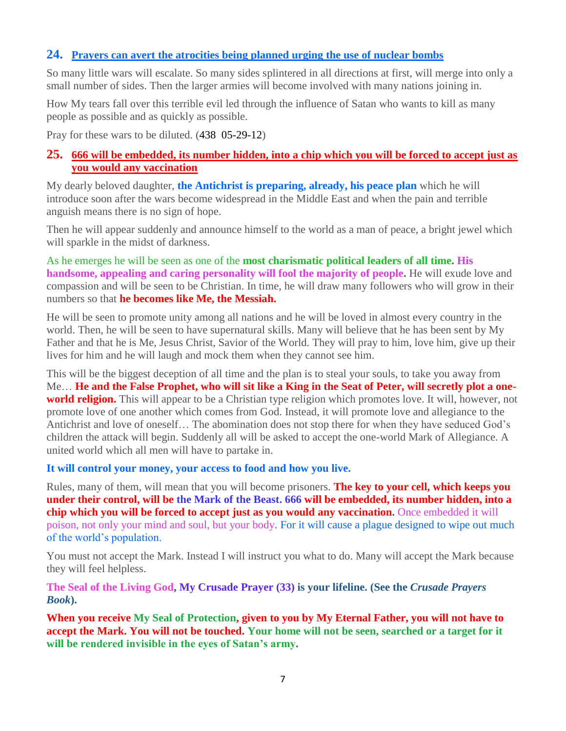# **24. [Prayers can avert the atrocities being planned urging the use of nuclear bombs](http://www.thewarningsecondcoming.com/prayers-can-avert-the-atrocities-being-planned-urging-the-use-of-nuclear-bombs/)**

So many little wars will escalate. So many sides splintered in all directions at first, will merge into only a small number of sides. Then the larger armies will become involved with many nations joining in.

How My tears fall over this terrible evil led through the influence of Satan who wants to kill as many people as possible and as quickly as possible.

Pray for these wars to be diluted. (438 05-29-12)

# **25. [666 will be embedded, its number hidden, into a chip which you will be forced to accept just as](http://www.thewarningsecondcoming.com/666-will-be-embedded-its-number-hidden-into-a-chip-which-you-will-be-forced-to-accept-just-as-you-would-any-vaccination/)  [you would any vaccination](http://www.thewarningsecondcoming.com/666-will-be-embedded-its-number-hidden-into-a-chip-which-you-will-be-forced-to-accept-just-as-you-would-any-vaccination/)**

My dearly beloved daughter, **the Antichrist is preparing, already, his peace plan** which he will introduce soon after the wars become widespread in the Middle East and when the pain and terrible anguish means there is no sign of hope.

Then he will appear suddenly and announce himself to the world as a man of peace, a bright jewel which will sparkle in the midst of darkness.

As he emerges he will be seen as one of the **most charismatic political leaders of all time. His handsome, appealing and caring personality will fool the majority of people.** He will exude love and compassion and will be seen to be Christian. In time, he will draw many followers who will grow in their numbers so that **he becomes like Me, the Messiah.**

He will be seen to promote unity among all nations and he will be loved in almost every country in the world. Then, he will be seen to have supernatural skills. Many will believe that he has been sent by My Father and that he is Me, Jesus Christ, Savior of the World. They will pray to him, love him, give up their lives for him and he will laugh and mock them when they cannot see him.

This will be the biggest deception of all time and the plan is to steal your souls, to take you away from Me… **He and the False Prophet, who will sit like a King in the Seat of Peter, will secretly plot a oneworld religion.** This will appear to be a Christian type religion which promotes love. It will, however, not promote love of one another which comes from God. Instead, it will promote love and allegiance to the Antichrist and love of oneself… The abomination does not stop there for when they have seduced God's children the attack will begin. Suddenly all will be asked to accept the one-world Mark of Allegiance. A united world which all men will have to partake in.

**It will control your money, your access to food and how you live.**

Rules, many of them, will mean that you will become prisoners. **The key to your cell, which keeps you under their control, will be the Mark of the Beast. 666 will be embedded, its number hidden, into a chip which you will be forced to accept just as you would any vaccination.** Once embedded it will poison, not only your mind and soul, but your body. For it will cause a plague designed to wipe out much of the world's population.

You must not accept the Mark. Instead I will instruct you what to do. Many will accept the Mark because they will feel helpless.

**[The Seal of the Living God, My Crusade Prayer \(33\)](http://www.thewarningsecondcoming.com/crusade-prayer-33-rise-now-and-accept-the-seal-of-the-living-god/) is your lifeline. (See the** *Crusade Prayers Book***).**

**When you receive My Seal of Protection, given to you by My Eternal Father, you will not have to accept the Mark. You will not be touched. Your home will not be seen, searched or a target for it will be rendered invisible in the eyes of Satan's army.**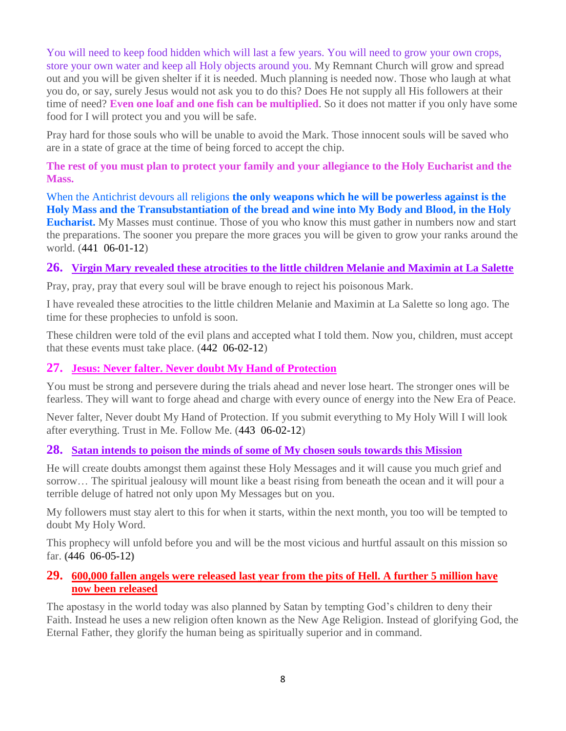You will need to keep food hidden which will last a few years. You will need to grow your own crops, store your own water and keep all Holy objects around you. My Remnant Church will grow and spread out and you will be given shelter if it is needed. Much planning is needed now. Those who laugh at what you do, or say, surely Jesus would not ask you to do this? Does He not supply all His followers at their time of need? **Even one loaf and one fish can be multiplied**. So it does not matter if you only have some food for I will protect you and you will be safe.

Pray hard for those souls who will be unable to avoid the Mark. Those innocent souls will be saved who are in a state of grace at the time of being forced to accept the chip.

**The rest of you must plan to protect your family and your allegiance to the Holy Eucharist and the Mass.**

When the Antichrist devours all religions **the only weapons which he will be powerless against is the Holy Mass and the Transubstantiation of the bread and wine into My Body and Blood, in the Holy Eucharist.** My Masses must continue. Those of you who know this must gather in numbers now and start the preparations. The sooner you prepare the more graces you will be given to grow your ranks around the world. (441 06-01-12)

# **26. Virgin Mary [revealed these atrocities to the little children Melanie and Maximin at La Salette](http://www.thewarningsecondcoming.com/virgin-mary-i-have-revealed-these-atrocities-to-the-little-children-melanie-and-maximin-at-la-salette-so-long-ago/)**

Pray, pray, pray that every soul will be brave enough to reject his poisonous Mark.

I have revealed these atrocities to the little children Melanie and Maximin at La Salette so long ago. The time for these prophecies to unfold is soon.

These children were told of the evil plans and accepted what I told them. Now you, children, must accept that these events must take place. (442 06-02-12)

# **27. [Jesus: Never falter. Never doubt My Hand of Protection](http://www.thewarningsecondcoming.com/jesus-never-falter-never-doubt-my-hand-of-protection/)**

You must be strong and persevere during the trials ahead and never lose heart. The stronger ones will be fearless. They will want to forge ahead and charge with every ounce of energy into the New Era of Peace.

Never falter, Never doubt My Hand of Protection. If you submit everything to My Holy Will I will look after everything. Trust in Me. Follow Me. (443 06-02-12)

## **28. [Satan intends to poison the minds of some of My chosen souls towards this Mission](http://www.thewarningsecondcoming.com/satan-intends-to-poison-the-minds-of-some-of-my-chosen-souls-towards-this-mission/)**

He will create doubts amongst them against these Holy Messages and it will cause you much grief and sorrow… The spiritual jealousy will mount like a beast rising from beneath the ocean and it will pour a terrible deluge of hatred not only upon My Messages but on you.

My followers must stay alert to this for when it starts, within the next month, you too will be tempted to doubt My Holy Word.

This prophecy will unfold before you and will be the most vicious and hurtful assault on this mission so far. **(**446 06-05-12**)**

## **29. [600,000 fallen angels were released last year from the pits of Hell. A further 5 million have](http://www.thewarningsecondcoming.com/600000-fallen-angels-were-released-last-year-from-the-pits-of-hell-a-further-5-million-have-now-been-released/)  [now been released](http://www.thewarningsecondcoming.com/600000-fallen-angels-were-released-last-year-from-the-pits-of-hell-a-further-5-million-have-now-been-released/)**

The apostasy in the world today was also planned by Satan by tempting God's children to deny their Faith. Instead he uses a new religion often known as the New Age Religion. Instead of glorifying God, the Eternal Father, they glorify the human being as spiritually superior and in command.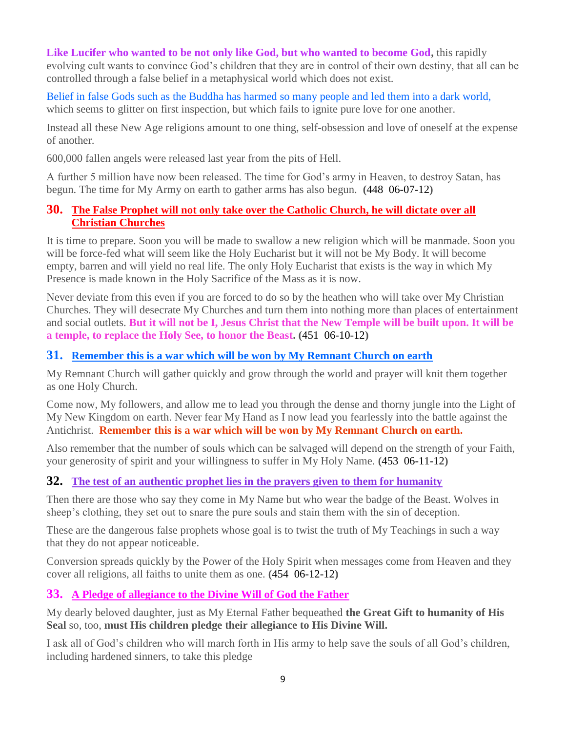**Like Lucifer who wanted to be not only like God, but who wanted to become God,** this rapidly evolving cult wants to convince God's children that they are in control of their own destiny, that all can be controlled through a false belief in a metaphysical world which does not exist.

Belief in false Gods such as the Buddha has harmed so many people and led them into a dark world, which seems to glitter on first inspection, but which fails to ignite pure love for one another.

Instead all these New Age religions amount to one thing, self-obsession and love of oneself at the expense of another.

600,000 fallen angels were released last year from the pits of Hell.

A further 5 million have now been released. The time for God's army in Heaven, to destroy Satan, has begun. The time for My Army on earth to gather arms has also begun. **(**448 06-07-12**)**

# **30. [The False Prophet will not only take over the Catholic Church,](http://www.thewarningsecondcoming.com/the-false-prophet-will-not-only-take-over-the-catholic-church-he-will-dictate-over-all-christian-churches/) he will dictate over all [Christian Churches](http://www.thewarningsecondcoming.com/the-false-prophet-will-not-only-take-over-the-catholic-church-he-will-dictate-over-all-christian-churches/)**

It is time to prepare. Soon you will be made to swallow a new religion which will be manmade. Soon you will be force-fed what will seem like the Holy Eucharist but it will not be My Body. It will become empty, barren and will yield no real life. The only Holy Eucharist that exists is the way in which My Presence is made known in the Holy Sacrifice of the Mass as it is now.

Never deviate from this even if you are forced to do so by the heathen who will take over My Christian Churches. They will desecrate My Churches and turn them into nothing more than places of entertainment and social outlets. **But it will not be I, Jesus Christ that the New Temple will be built upon. It will be a temple, to replace the Holy See, to honor the Beast. (**451 06-10-12**)**

# **31. [Remember this is a war which will be won by My Remnant Church on earth](http://www.thewarningsecondcoming.com/remember-this-is-a-war-which-will-be-won-by-my-remnant-church-on-earth/)**

My Remnant Church will gather quickly and grow through the world and prayer will knit them together as one Holy Church.

Come now, My followers, and allow me to lead you through the dense and thorny jungle into the Light of My New Kingdom on earth. Never fear My Hand as I now lead you fearlessly into the battle against the Antichrist. **Remember this is a war which will be won by My Remnant Church on earth.**

Also remember that the number of souls which can be salvaged will depend on the strength of your Faith, your generosity of spirit and your willingness to suffer in My Holy Name. **(**453 06-11-12**)**

# **32. [The test of an authentic prophet lies in the prayers given to them for humanity](http://www.thewarningsecondcoming.com/the-test-of-an-authentic-prophet-lies-in-the-prayers-given-to-them-for-humanity/)**

Then there are those who say they come in My Name but who wear the badge of the Beast. Wolves in sheep's clothing, they set out to snare the pure souls and stain them with the sin of deception.

These are the dangerous false prophets whose goal is to twist the truth of My Teachings in such a way that they do not appear noticeable.

Conversion spreads quickly by the Power of the Holy Spirit when messages come from Heaven and they cover all religions, all faiths to unite them as one. **(**454 06-12-12**)**

# **33. [A Pledge of allegiance to the Divine Will of God the Father](http://www.thewarningsecondcoming.com/pledge-of-allegiance-to-the-divine-will-of-god-the-father/)**

My dearly beloved daughter, just as My Eternal Father bequeathed **the Great Gift to humanity of His Seal** so, too, **must His children pledge their allegiance to His Divine Will.**

I ask all of God's children who will march forth in His army to help save the souls of all God's children, including hardened sinners, to take this pledge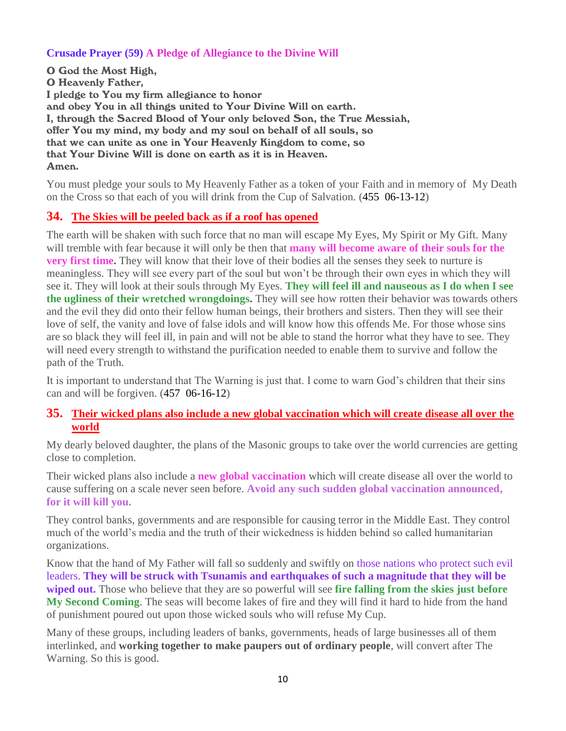## **Crusade Prayer (59) A Pledge of Allegiance to the Divine Will**

O God the Most High, O Heavenly Father, I pledge to You my firm allegiance to honor and obey You in all things united to Your Divine Will on earth. I, through the Sacred Blood of Your only beloved Son, the True Messiah, offer You my mind, my body and my soul on behalf of all souls, so that we can unite as one in Your Heavenly Kingdom to come, so that Your Divine Will is done on earth as it is in Heaven. Amen.

You must pledge your souls to My Heavenly Father as a token of your Faith and in memory of My Death on the Cross so that each of you will drink from the Cup of Salvation. (455 06-13-12)

# **34. [The Skies will be peeled back as if a roof has opened](http://www.thewarningsecondcoming.com/the-skies-will-be-peeled-back-as-if-a-roof-has-opened/)**

The earth will be shaken with such force that no man will escape My Eyes, My Spirit or My Gift. Many will tremble with fear because it will only be then that **many will become aware of their souls for the very first time.** They will know that their love of their bodies all the senses they seek to nurture is meaningless. They will see every part of the soul but won't be through their own eyes in which they will see it. They will look at their souls through My Eyes. **They will feel ill and nauseous as I do when I see the ugliness of their wretched wrongdoings.** They will see how rotten their behavior was towards others and the evil they did onto their fellow human beings, their brothers and sisters. Then they will see their love of self, the vanity and love of false idols and will know how this offends Me. For those whose sins are so black they will feel ill, in pain and will not be able to stand the horror what they have to see. They will need every strength to withstand the purification needed to enable them to survive and follow the path of the Truth.

It is important to understand that The Warning is just that. I come to warn God's children that their sins can and will be forgiven. (457 06-16-12)

# **35. [Their wicked plans also include a new global vaccination which will create disease all over the](http://www.thewarningsecondcoming.com/their-wicked-plans-also-include-a-new-global-vaccination-which-will-create-disease-all-over-the-world/)  [world](http://www.thewarningsecondcoming.com/their-wicked-plans-also-include-a-new-global-vaccination-which-will-create-disease-all-over-the-world/)**

My dearly beloved daughter, the plans of the Masonic groups to take over the world currencies are getting close to completion.

Their wicked plans also include a **new global vaccination** which will create disease all over the world to cause suffering on a scale never seen before. **Avoid any such sudden global vaccination announced, for it will kill you.**

They control banks, governments and are responsible for causing terror in the Middle East. They control much of the world's media and the truth of their wickedness is hidden behind so called humanitarian organizations.

Know that the hand of My Father will fall so suddenly and swiftly on those nations who protect such evil leaders. **They will be struck with Tsunamis and earthquakes of such a magnitude that they will be wiped out.** Those who believe that they are so powerful will see **fire falling from the skies just before My Second Coming**. The seas will become lakes of fire and they will find it hard to hide from the hand of punishment poured out upon those wicked souls who will refuse My Cup.

Many of these groups, including leaders of banks, governments, heads of large businesses all of them interlinked, and **working together to make paupers out of ordinary people**, will convert after The Warning. So this is good.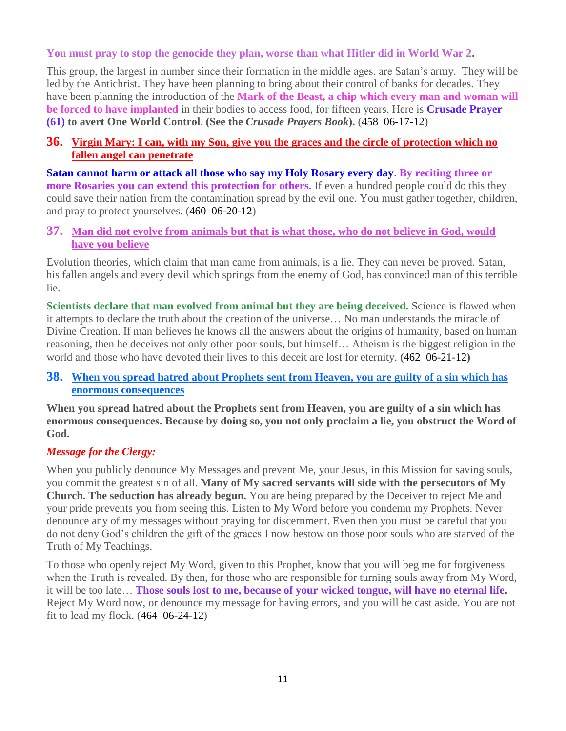#### **You must pray to stop the genocide they plan, worse than what Hitler did in World War 2.**

This group, the largest in number since their formation in the middle ages, are Satan's army. They will be led by the Antichrist. They have been planning to bring about their control of banks for decades. They have been planning the introduction of the **Mark of the Beast, a chip which every man and woman will be forced to have implanted** in their bodies to access food, for fifteen years. Here is **Crusade Prayer (61) to avert One World Control**. **(See the** *Crusade Prayers Book***).** (458 06-17-12)

#### **36. [Virgin Mary: I can, with my Son, give you the graces and the circle of protection which no](http://www.thewarningsecondcoming.com/virgin-mary-i-can-with-my-son-give-you-the-graces-and-the-circle-of-protection-which-no-fallen-angel-can-penetrate/)  [fallen angel can penetrate](http://www.thewarningsecondcoming.com/virgin-mary-i-can-with-my-son-give-you-the-graces-and-the-circle-of-protection-which-no-fallen-angel-can-penetrate/)**

**Satan cannot harm or attack all those who say my Holy Rosary every day**. **By reciting three or more Rosaries you can extend this protection for others.** If even a hundred people could do this they could save their nation from the contamination spread by the evil one. You must gather together, children, and pray to protect yourselves. (460 06-20-12)

#### **37. [Man did not evolve from animals but that is what those, who do not believe in God, would](http://www.thewarningsecondcoming.com/man-did-not-evolve-from-animals-but-that-is-what-those-who-do-not-believe-in-god-would-have-you-believe/)  [have you believe](http://www.thewarningsecondcoming.com/man-did-not-evolve-from-animals-but-that-is-what-those-who-do-not-believe-in-god-would-have-you-believe/)**

Evolution theories, which claim that man came from animals, is a lie. They can never be proved. Satan, his fallen angels and every devil which springs from the enemy of God, has convinced man of this terrible lie.

**Scientists declare that man evolved from animal but they are being deceived.** Science is flawed when it attempts to declare the truth about the creation of the universe… No man understands the miracle of Divine Creation. If man believes he knows all the answers about the origins of humanity, based on human reasoning, then he deceives not only other poor souls, but himself… Atheism is the biggest religion in the world and those who have devoted their lives to this deceit are lost for eternity. **(**462 06-21-12**)**

## **38. [When you spread hatred about Prophets sent from Heaven,](http://www.thewarningsecondcoming.com/when-you-spread-hatred-about-prophets-sent-from-heaven-you-are-guilty-of-a-sin-which-has-enormous-consequences/) you are guilty of a sin which has [enormous consequences](http://www.thewarningsecondcoming.com/when-you-spread-hatred-about-prophets-sent-from-heaven-you-are-guilty-of-a-sin-which-has-enormous-consequences/)**

**When you spread hatred about the Prophets sent from Heaven, you are guilty of a sin which has enormous consequences. Because by doing so, you not only proclaim a lie, you obstruct the Word of God.**

## *Message for the Clergy:*

When you publicly denounce My Messages and prevent Me, your Jesus, in this Mission for saving souls, you commit the greatest sin of all. **Many of My sacred servants will side with the persecutors of My Church. The seduction has already begun.** You are being prepared by the Deceiver to reject Me and your pride prevents you from seeing this. Listen to My Word before you condemn my Prophets. Never denounce any of my messages without praying for discernment. Even then you must be careful that you do not deny God's children the gift of the graces I now bestow on those poor souls who are starved of the Truth of My Teachings.

To those who openly reject My Word, given to this Prophet, know that you will beg me for forgiveness when the Truth is revealed. By then, for those who are responsible for turning souls away from My Word, it will be too late… **Those souls lost to me, because of your wicked tongue, will have no eternal life.** Reject My Word now, or denounce my message for having errors, and you will be cast aside. You are not fit to lead my flock. (464 06-24-12)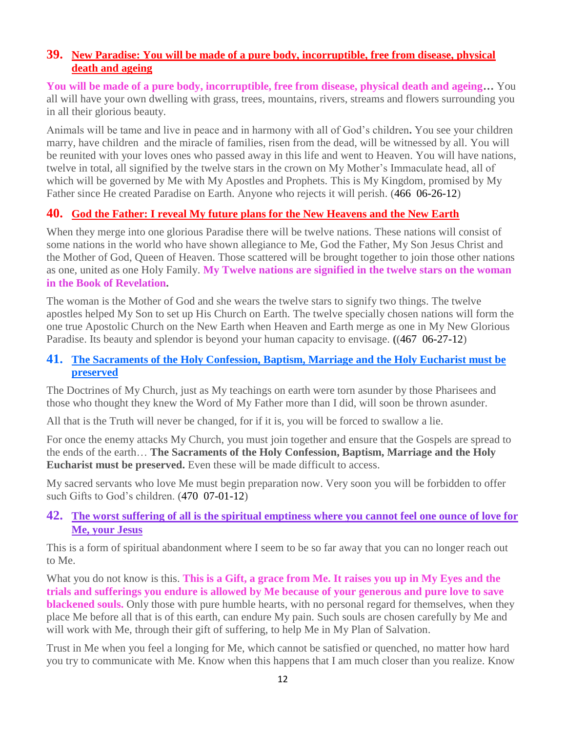# **39. [New Paradise: You will be made of a pure body, incorruptible, free from disease, physical](http://www.thewarningsecondcoming.com/new-paradise-you-will-be-made-of-a-pure-body-incorruptible-free-from-disease-physical-death-and-ageing/)  [death and ageing](http://www.thewarningsecondcoming.com/new-paradise-you-will-be-made-of-a-pure-body-incorruptible-free-from-disease-physical-death-and-ageing/)**

**You will be made of a pure body, incorruptible, free from disease, physical death and ageing…** You all will have your own dwelling with grass, trees, mountains, rivers, streams and flowers surrounding you in all their glorious beauty.

Animals will be tame and live in peace and in harmony with all of God's children**.** You see your children marry, have children and the miracle of families, risen from the dead, will be witnessed by all. You will be reunited with your loves ones who passed away in this life and went to Heaven. You will have nations, twelve in total, all signified by the twelve stars in the crown on My Mother's Immaculate head, all of which will be governed by Me with My Apostles and Prophets. This is My Kingdom, promised by My Father since He created Paradise on Earth. Anyone who rejects it will perish. (466 06-26-12)

# **40. [God the Father: I reveal My future plans for the New Heavens and the New Earth](http://www.thewarningsecondcoming.com/god-the-father-i-reveal-my-future-plans-for-the-new-heavens-and-the-new-earth/)**

When they merge into one glorious Paradise there will be twelve nations. These nations will consist of some nations in the world who have shown allegiance to Me, God the Father, My Son Jesus Christ and the Mother of God, Queen of Heaven. Those scattered will be brought together to join those other nations as one, united as one Holy Family. **My Twelve nations are signified in the twelve stars on the woman in the Book of Revelation.**

The woman is the Mother of God and she wears the twelve stars to signify two things. The twelve apostles helped My Son to set up His Church on Earth. The twelve specially chosen nations will form the one true Apostolic Church on the New Earth when Heaven and Earth merge as one in My New Glorious Paradise. Its beauty and splendor is beyond your human capacity to envisage. **(**(467 06-27-12)

#### **41. [The Sacraments of the Holy Confession, Baptism, Marriage and the Holy Eucharist must be](http://www.thewarningsecondcoming.com/the-sacraments-of-the-holy-confession-baptism-marriage-and-the-holy-eucharist-must-be-preserved/)  [preserved](http://www.thewarningsecondcoming.com/the-sacraments-of-the-holy-confession-baptism-marriage-and-the-holy-eucharist-must-be-preserved/)**

The Doctrines of My Church, just as My teachings on earth were torn asunder by those Pharisees and those who thought they knew the Word of My Father more than I did, will soon be thrown asunder.

All that is the Truth will never be changed, for if it is, you will be forced to swallow a lie.

For once the enemy attacks My Church, you must join together and ensure that the Gospels are spread to the ends of the earth… **The Sacraments of the Holy Confession, Baptism, Marriage and the Holy Eucharist must be preserved.** Even these will be made difficult to access.

My sacred servants who love Me must begin preparation now. Very soon you will be forbidden to offer such Gifts to God's children. (470 07-01-12)

# **42. [The worst suffering of all is the spiritual emptiness where you cannot feel one ounce of love for](http://www.thewarningsecondcoming.com/the-worst-suffering-of-all-is-the-spiritual-emptiness-where-you-cannot-feel-one-ounce-of-love-for-me-your-jesus/)  [Me, your Jesus](http://www.thewarningsecondcoming.com/the-worst-suffering-of-all-is-the-spiritual-emptiness-where-you-cannot-feel-one-ounce-of-love-for-me-your-jesus/)**

This is a form of spiritual abandonment where I seem to be so far away that you can no longer reach out to Me.

What you do not know is this. **This is a Gift, a grace from Me. It raises you up in My Eyes and the trials and sufferings you endure is allowed by Me because of your generous and pure love to save blackened souls.** Only those with pure humble hearts, with no personal regard for themselves, when they place Me before all that is of this earth, can endure My pain. Such souls are chosen carefully by Me and will work with Me, through their gift of suffering, to help Me in My Plan of Salvation.

Trust in Me when you feel a longing for Me, which cannot be satisfied or quenched, no matter how hard you try to communicate with Me. Know when this happens that I am much closer than you realize. Know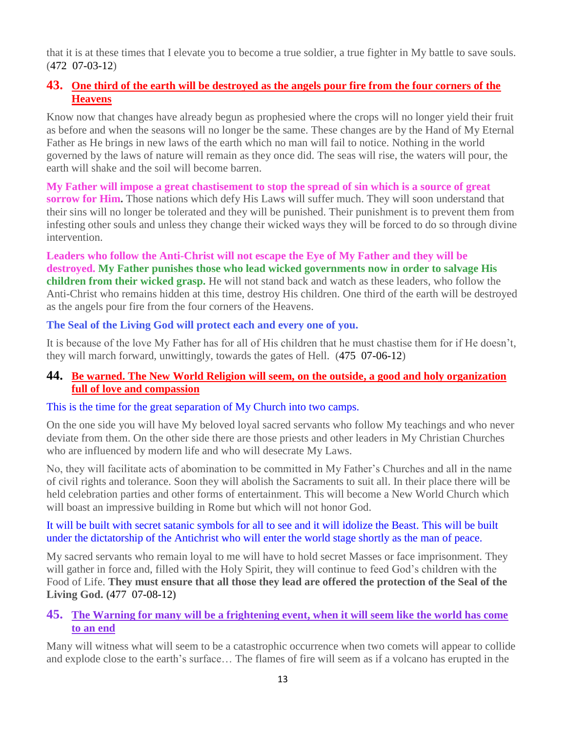that it is at these times that I elevate you to become a true soldier, a true fighter in My battle to save souls. (472 07-03-12)

# **43. [One third of the earth will be destroyed as the angels pour fire from the four corners of the](http://www.thewarningsecondcoming.com/one-third-of-the-earth-will-be-destroyed-as-the-angels-pour-fire-from-the-four-corners-of-the-heavens/)  [Heavens](http://www.thewarningsecondcoming.com/one-third-of-the-earth-will-be-destroyed-as-the-angels-pour-fire-from-the-four-corners-of-the-heavens/)**

Know now that changes have already begun as prophesied where the crops will no longer yield their fruit as before and when the seasons will no longer be the same. These changes are by the Hand of My Eternal Father as He brings in new laws of the earth which no man will fail to notice. Nothing in the world governed by the laws of nature will remain as they once did. The seas will rise, the waters will pour, the earth will shake and the soil will become barren.

**My Father will impose a great chastisement to stop the spread of sin which is a source of great sorrow for Him.** Those nations which defy His Laws will suffer much. They will soon understand that their sins will no longer be tolerated and they will be punished. Their punishment is to prevent them from infesting other souls and unless they change their wicked ways they will be forced to do so through divine intervention.

**Leaders who follow the Anti-Christ will not escape the Eye of My Father and they will be destroyed. My Father punishes those who lead wicked governments now in order to salvage His children from their wicked grasp.** He will not stand back and watch as these leaders, who follow the Anti-Christ who remains hidden at this time, destroy His children. One third of the earth will be destroyed as the angels pour fire from the four corners of the Heavens.

# **The Seal of the Living God will protect each and every one of you.**

It is because of the love My Father has for all of His children that he must chastise them for if He doesn't, they will march forward, unwittingly, towards the gates of Hell. (475 07-06-12)

## **44. [Be warned. The New World Religion will seem, on the outside,](http://www.thewarningsecondcoming.com/be-warned-the-new-world-religion-will-seem-on-the-outside-a-good-and-holy-organisation-full-of-love-and-compassion/) a good and holy organization [full of love and compassion](http://www.thewarningsecondcoming.com/be-warned-the-new-world-religion-will-seem-on-the-outside-a-good-and-holy-organisation-full-of-love-and-compassion/)**

## This is the time for the great separation of My Church into two camps.

On the one side you will have My beloved loyal sacred servants who follow My teachings and who never deviate from them. On the other side there are those priests and other leaders in My Christian Churches who are influenced by modern life and who will desecrate My Laws.

No, they will facilitate acts of abomination to be committed in My Father's Churches and all in the name of civil rights and tolerance. Soon they will abolish the Sacraments to suit all. In their place there will be held celebration parties and other forms of entertainment. This will become a New World Church which will boast an impressive building in Rome but which will not honor God.

## It will be built with secret satanic symbols for all to see and it will idolize the Beast. This will be built under the dictatorship of the Antichrist who will enter the world stage shortly as the man of peace.

My sacred servants who remain loyal to me will have to hold secret Masses or face imprisonment. They will gather in force and, filled with the Holy Spirit, they will continue to feed God's children with the Food of Life. **They must ensure that all those they lead are offered the protection of the Seal of the Living God. (**477 07-08-12**)**

# **45. [The Warning for many will be a frightening event, when it will seem like the world has come](http://www.thewarningsecondcoming.com/the-warning-for-many-will-be-a-frightening-event-when-it-will-seem-like-the-world-has-come-to-an-end/)  [to an end](http://www.thewarningsecondcoming.com/the-warning-for-many-will-be-a-frightening-event-when-it-will-seem-like-the-world-has-come-to-an-end/)**

Many will witness what will seem to be a catastrophic occurrence when two comets will appear to collide and explode close to the earth's surface… The flames of fire will seem as if a volcano has erupted in the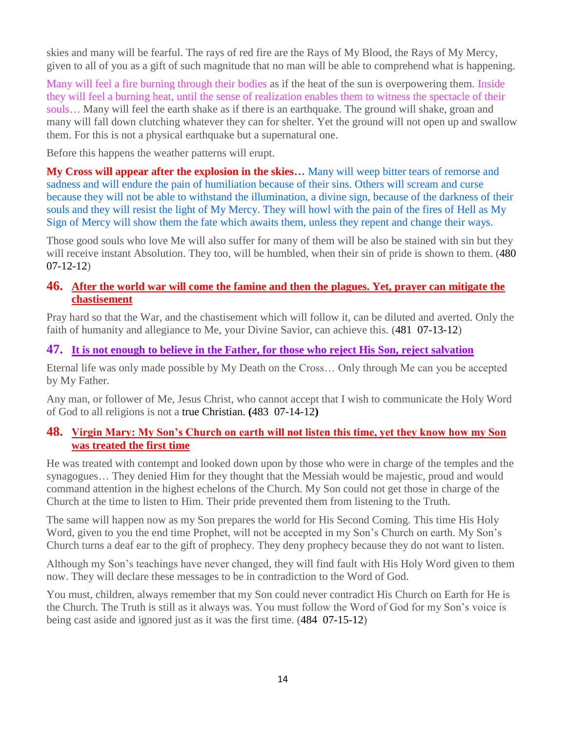skies and many will be fearful. The rays of red fire are the Rays of My Blood, the Rays of My Mercy, given to all of you as a gift of such magnitude that no man will be able to comprehend what is happening.

Many will feel a fire burning through their bodies as if the heat of the sun is overpowering them. Inside they will feel a burning heat, until the sense of realization enables them to witness the spectacle of their souls… Many will feel the earth shake as if there is an earthquake. The ground will shake, groan and many will fall down clutching whatever they can for shelter. Yet the ground will not open up and swallow them. For this is not a physical earthquake but a supernatural one.

Before this happens the weather patterns will erupt.

**My Cross will appear after the explosion in the skies…** Many will weep bitter tears of remorse and sadness and will endure the pain of humiliation because of their sins. Others will scream and curse because they will not be able to withstand the illumination, a divine sign, because of the darkness of their souls and they will resist the light of My Mercy. They will howl with the pain of the fires of Hell as My Sign of Mercy will show them the fate which awaits them, unless they repent and change their ways.

Those good souls who love Me will also suffer for many of them will be also be stained with sin but they will receive instant Absolution. They too, will be humbled, when their sin of pride is shown to them. (480) 07-12-12)

## **46. [After the world war will come the famine and then the plagues. Yet, prayer can mitigate the](http://www.thewarningsecondcoming.com/after-the-world-war-will-come-the-famine-and-then-the-plagues-yet-prayer-can-mitigate-the-chastisement/)  [chastisement](http://www.thewarningsecondcoming.com/after-the-world-war-will-come-the-famine-and-then-the-plagues-yet-prayer-can-mitigate-the-chastisement/)**

Pray hard so that the War, and the chastisement which will follow it, can be diluted and averted. Only the faith of humanity and allegiance to Me, your Divine Savior, can achieve this. (481 07-13-12)

# **47. [It is not enough to believe in the Father,](http://www.thewarningsecondcoming.com/it-is-not-enough-to-believe-in-the-father-for-those-who-reject-his-son-reject-salvation/) for those who reject His Son, reject salvation**

Eternal life was only made possible by My Death on the Cross… Only through Me can you be accepted by My Father.

Any man, or follower of Me, Jesus Christ, who cannot accept that I wish to communicate the Holy Word of God to all religions is not a true Christian. **(**483 07-14-12**)**

# **48. [Virgin Mary: My Son's Church on earth will not listen this time, yet they know how my Son](http://www.thewarningsecondcoming.com/my-sons-church-on-earth-will-not-listen-this-time-yet-they-know-how-my-son-was-treated-the-first-time/)  [was treated the first time](http://www.thewarningsecondcoming.com/my-sons-church-on-earth-will-not-listen-this-time-yet-they-know-how-my-son-was-treated-the-first-time/)**

He was treated with contempt and looked down upon by those who were in charge of the temples and the synagogues… They denied Him for they thought that the Messiah would be majestic, proud and would command attention in the highest echelons of the Church. My Son could not get those in charge of the Church at the time to listen to Him. Their pride prevented them from listening to the Truth.

The same will happen now as my Son prepares the world for His Second Coming. This time His Holy Word, given to you the end time Prophet, will not be accepted in my Son's Church on earth. My Son's Church turns a deaf ear to the gift of prophecy. They deny prophecy because they do not want to listen.

Although my Son's teachings have never changed, they will find fault with His Holy Word given to them now. They will declare these messages to be in contradiction to the Word of God.

You must, children, always remember that my Son could never contradict His Church on Earth for He is the Church. The Truth is still as it always was. You must follow the Word of God for my Son's voice is being cast aside and ignored just as it was the first time. (484 07-15-12)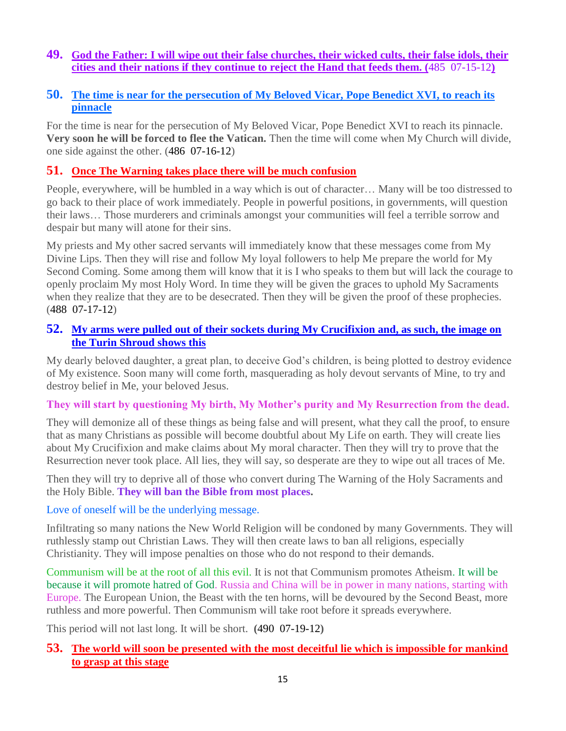# **49. [God the Father: I will wipe out their false churches, their wicked cults, their false idols, their](http://www.thewarningsecondcoming.com/god-the-father-i-will-wipe-out-their-false-churches-their-wicked-cults-their-false-idols-their-cities-and-their-nations/)  [cities and their nations](http://www.thewarningsecondcoming.com/god-the-father-i-will-wipe-out-their-false-churches-their-wicked-cults-their-false-idols-their-cities-and-their-nations/) if they continue to reject the Hand that feeds them. (**485 07-15-12**)**

# **50. [The time is near for the persecution of My Beloved Vicar, Pope Benedict XVI,](http://www.thewarningsecondcoming.com/the-time-is-near-for-the-persecution-of-my-beloved-vicar-pope-benedict-xvi-to-reach-its-pinnacle/) to reach its [pinnacle](http://www.thewarningsecondcoming.com/the-time-is-near-for-the-persecution-of-my-beloved-vicar-pope-benedict-xvi-to-reach-its-pinnacle/)**

For the time is near for the persecution of My Beloved Vicar, Pope Benedict XVI to reach its pinnacle. **Very soon he will be forced to flee the Vatican.** Then the time will come when My Church will divide, one side against the other. (486 07-16-12)

# **51. [Once The Warning takes place there will be much confusion](http://www.thewarningsecondcoming.com/once-the-warning-takes-place-there-will-be-much-confusion/)**

People, everywhere, will be humbled in a way which is out of character… Many will be too distressed to go back to their place of work immediately. People in powerful positions, in governments, will question their laws… Those murderers and criminals amongst your communities will feel a terrible sorrow and despair but many will atone for their sins.

My priests and My other sacred servants will immediately know that these messages come from My Divine Lips. Then they will rise and follow My loyal followers to help Me prepare the world for My Second Coming. Some among them will know that it is I who speaks to them but will lack the courage to openly proclaim My most Holy Word. In time they will be given the graces to uphold My Sacraments when they realize that they are to be desecrated. Then they will be given the proof of these prophecies. (488 07-17-12)

# **52. [My arms were pulled out of their sockets during My Crucifixion and, as such, the image on](http://www.thewarningsecondcoming.com/my-arms-were-pulled-out-of-their-sockets-during-my-crucifixion-and-as-such-the-image-on-the-turin-shroud-shows-this/)  [the Turin Shroud shows this](http://www.thewarningsecondcoming.com/my-arms-were-pulled-out-of-their-sockets-during-my-crucifixion-and-as-such-the-image-on-the-turin-shroud-shows-this/)**

My dearly beloved daughter, a great plan, to deceive God's children, is being plotted to destroy evidence of My existence. Soon many will come forth, masquerading as holy devout servants of Mine, to try and destroy belief in Me, your beloved Jesus.

## **They will start by questioning My birth, My Mother's purity and My Resurrection from the dead.**

They will demonize all of these things as being false and will present, what they call the proof, to ensure that as many Christians as possible will become doubtful about My Life on earth. They will create lies about My Crucifixion and make claims about My moral character. Then they will try to prove that the Resurrection never took place. All lies, they will say, so desperate are they to wipe out all traces of Me.

Then they will try to deprive all of those who convert during The Warning of the Holy Sacraments and the Holy Bible. **They will ban the Bible from most places.**

## Love of oneself will be the underlying message.

Infiltrating so many nations the New World Religion will be condoned by many Governments. They will ruthlessly stamp out Christian Laws. They will then create laws to ban all religions, especially Christianity. They will impose penalties on those who do not respond to their demands.

Communism will be at the root of all this evil. It is not that Communism promotes Atheism. It will be because it will promote hatred of God. Russia and China will be in power in many nations, starting with Europe. The European Union, the Beast with the ten horns, will be devoured by the Second Beast, more ruthless and more powerful. Then Communism will take root before it spreads everywhere.

This period will not last long. It will be short. **(**490 07-19-12**)**

# **53. [The world will soon be presented with the most deceitful lie which is impossible for mankind](http://www.thewarningsecondcoming.com/the-world-will-soon-be-presented-with-the-most-deceitful-lie-which-is-impossible-for-mankind-to-grasp-at-this-stage/)  [to grasp at this stage](http://www.thewarningsecondcoming.com/the-world-will-soon-be-presented-with-the-most-deceitful-lie-which-is-impossible-for-mankind-to-grasp-at-this-stage/)**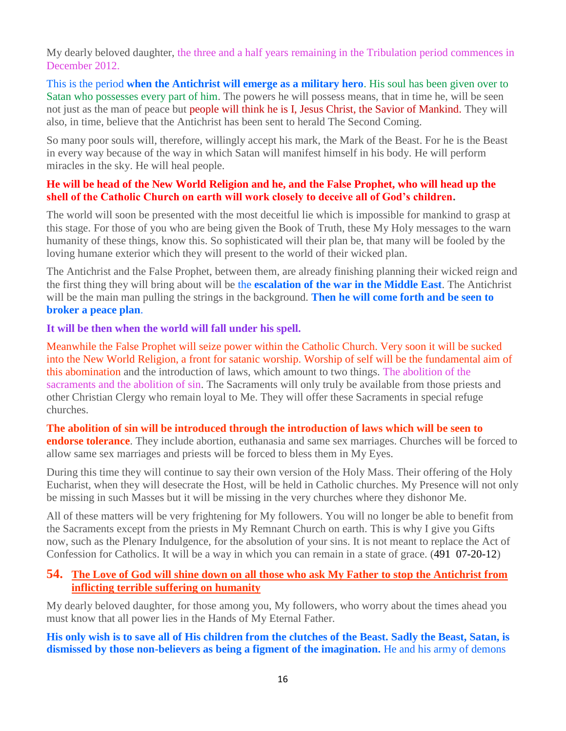My dearly beloved daughter, the three and a half years remaining in the Tribulation period commences in December 2012.

This is the period **when the Antichrist will emerge as a military hero**. His soul has been given over to Satan who possesses every part of him. The powers he will possess means, that in time he, will be seen not just as the man of peace but people will think he is I, Jesus Christ, the Savior of Mankind. They will also, in time, believe that the Antichrist has been sent to herald The Second Coming.

So many poor souls will, therefore, willingly accept his mark, the Mark of the Beast. For he is the Beast in every way because of the way in which Satan will manifest himself in his body. He will perform miracles in the sky. He will heal people.

## **He will be head of the New World Religion and he, and the False Prophet, who will head up the shell of the Catholic Church on earth will work closely to deceive all of God's children.**

The world will soon be presented with the most deceitful lie which is impossible for mankind to grasp at this stage. For those of you who are being given the Book of Truth, these My Holy messages to the warn humanity of these things, know this. So sophisticated will their plan be, that many will be fooled by the loving humane exterior which they will present to the world of their wicked plan.

The Antichrist and the False Prophet, between them, are already finishing planning their wicked reign and the first thing they will bring about will be the **escalation of the war in the Middle East**. The Antichrist will be the main man pulling the strings in the background. **Then he will come forth and be seen to broker a peace plan**.

#### **It will be then when the world will fall under his spell.**

Meanwhile the False Prophet will seize power within the Catholic Church. Very soon it will be sucked into the New World Religion, a front for satanic worship. Worship of self will be the fundamental aim of this abomination and the introduction of laws, which amount to two things. The abolition of the sacraments and the abolition of sin. The Sacraments will only truly be available from those priests and other Christian Clergy who remain loyal to Me. They will offer these Sacraments in special refuge churches.

#### **The abolition of sin will be introduced through the introduction of laws which will be seen to endorse tolerance**. They include abortion, euthanasia and same sex marriages. Churches will be forced to allow same sex marriages and priests will be forced to bless them in My Eyes.

During this time they will continue to say their own version of the Holy Mass. Their offering of the Holy Eucharist, when they will desecrate the Host, will be held in Catholic churches. My Presence will not only be missing in such Masses but it will be missing in the very churches where they dishonor Me.

All of these matters will be very frightening for My followers. You will no longer be able to benefit from the Sacraments except from the priests in My Remnant Church on earth. This is why I give you Gifts now, such as the Plenary Indulgence, for the absolution of your sins. It is not meant to replace the Act of Confession for Catholics. It will be a way in which you can remain in a state of grace. (491 07-20-12)

## **54. [The Love of God will shine down on all those who ask My Father to stop the Antichrist from](http://www.thewarningsecondcoming.com/the-love-of-god-will-shine-down-on-all-those-who-ask-my-father-to-stop-the-antichrist-from-inflicting-terrible-suffering-on-humanity/)  [inflicting terrible suffering on humanity](http://www.thewarningsecondcoming.com/the-love-of-god-will-shine-down-on-all-those-who-ask-my-father-to-stop-the-antichrist-from-inflicting-terrible-suffering-on-humanity/)**

My dearly beloved daughter, for those among you, My followers, who worry about the times ahead you must know that all power lies in the Hands of My Eternal Father.

## **His only wish is to save all of His children from the clutches of the Beast. Sadly the Beast, Satan, is dismissed by those non-believers as being a figment of the imagination.** He and his army of demons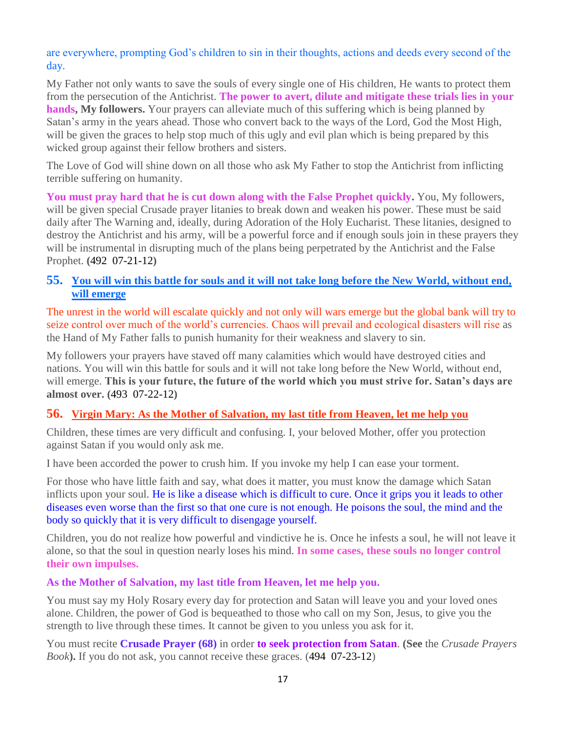are everywhere, prompting God's children to sin in their thoughts, actions and deeds every second of the day.

My Father not only wants to save the souls of every single one of His children, He wants to protect them from the persecution of the Antichrist. **The power to avert, dilute and mitigate these trials lies in your hands, My followers.** Your prayers can alleviate much of this suffering which is being planned by Satan's army in the years ahead. Those who convert back to the ways of the Lord, God the Most High, will be given the graces to help stop much of this ugly and evil plan which is being prepared by this wicked group against their fellow brothers and sisters.

The Love of God will shine down on all those who ask My Father to stop the Antichrist from inflicting terrible suffering on humanity.

**You must pray hard that he is cut down along with the False Prophet quickly.** You, My followers, will be given special Crusade prayer litanies to break down and weaken his power. These must be said daily after The Warning and, ideally, during Adoration of the Holy Eucharist. These litanies, designed to destroy the Antichrist and his army, will be a powerful force and if enough souls join in these prayers they will be instrumental in disrupting much of the plans being perpetrated by the Antichrist and the False Prophet. **(**492 07-21-12**)**

# **55. [You will win this battle for souls and it will not take long before the New World, without end,](http://www.thewarningsecondcoming.com/you-will-win-this-battle-for-souls-and-it-will-not-take-long-before-the-new-world-without-end-will-emerge/)  [will emerge](http://www.thewarningsecondcoming.com/you-will-win-this-battle-for-souls-and-it-will-not-take-long-before-the-new-world-without-end-will-emerge/)**

The unrest in the world will escalate quickly and not only will wars emerge but the global bank will try to seize control over much of the world's currencies. Chaos will prevail and ecological disasters will rise as the Hand of My Father falls to punish humanity for their weakness and slavery to sin.

My followers your prayers have staved off many calamities which would have destroyed cities and nations. You will win this battle for souls and it will not take long before the New World, without end, will emerge. **This is your future, the future of the world which you must strive for. Satan's days are almost over. (**493 07-22-12**)**

# **56. [Virgin Mary: As the Mother of Salvation, my last title from Heaven, let me help you](http://www.thewarningsecondcoming.com/virgin-mary-as-the-mother-of-salvation-my-last-title-from-heaven-let-me-help-you/)**

Children, these times are very difficult and confusing. I, your beloved Mother, offer you protection against Satan if you would only ask me.

I have been accorded the power to crush him. If you invoke my help I can ease your torment.

For those who have little faith and say, what does it matter, you must know the damage which Satan inflicts upon your soul. He is like a disease which is difficult to cure. Once it grips you it leads to other diseases even worse than the first so that one cure is not enough. He poisons the soul, the mind and the body so quickly that it is very difficult to disengage yourself.

Children, you do not realize how powerful and vindictive he is. Once he infests a soul, he will not leave it alone, so that the soul in question nearly loses his mind. **In some cases, these souls no longer control their own impulses.**

## **As the Mother of Salvation, my last title from Heaven, let me help you.**

You must say my Holy Rosary every day for protection and Satan will leave you and your loved ones alone. Children, the power of God is bequeathed to those who call on my Son, Jesus, to give you the strength to live through these times. It cannot be given to you unless you ask for it.

You must recite **Crusade Prayer (68)** in order **to seek protection from Satan**. **(See** the *Crusade Prayers Book***).** If you do not ask, you cannot receive these graces. (494 07-23-12)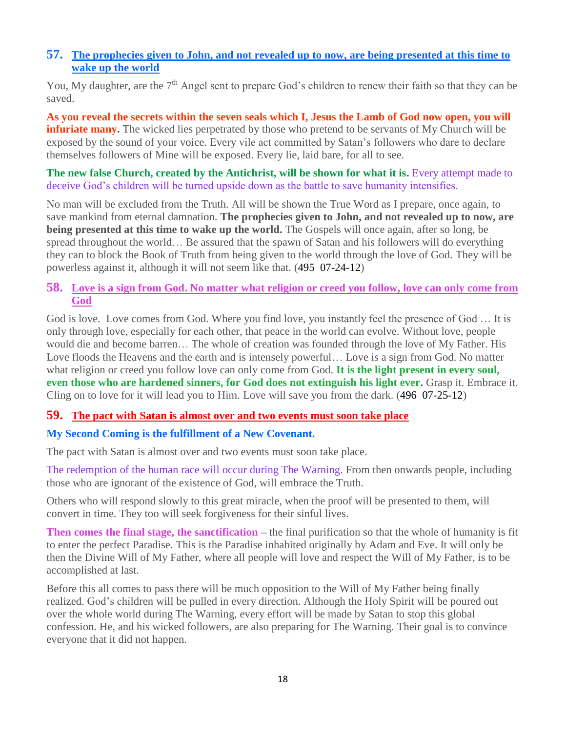# **57. [The prophecies given to John, and not revealed up to now, are being presented at this time to](http://www.thewarningsecondcoming.com/the-prophecies-given-to-john-and-not-revealed-up-to-now-are-being-presented-at-this-time-to-wake-up-the-world/)  [wake up the world](http://www.thewarningsecondcoming.com/the-prophecies-given-to-john-and-not-revealed-up-to-now-are-being-presented-at-this-time-to-wake-up-the-world/)**

You, My daughter, are the 7<sup>th</sup> Angel sent to prepare God's children to renew their faith so that they can be saved.

**As you reveal the secrets within the seven seals which I, Jesus the Lamb of God now open, you will infuriate many.** The wicked lies perpetrated by those who pretend to be servants of My Church will be exposed by the sound of your voice. Every vile act committed by Satan's followers who dare to declare themselves followers of Mine will be exposed. Every lie, laid bare, for all to see.

**The new false Church, created by the Antichrist, will be shown for what it is.** Every attempt made to deceive God's children will be turned upside down as the battle to save humanity intensifies.

No man will be excluded from the Truth. All will be shown the True Word as I prepare, once again, to save mankind from eternal damnation. **The prophecies given to John, and not revealed up to now, are being presented at this time to wake up the world.** The Gospels will once again, after so long, be spread throughout the world… Be assured that the spawn of Satan and his followers will do everything they can to block the Book of Truth from being given to the world through the love of God. They will be powerless against it, although it will not seem like that. (495 07-24-12)

# **58. [Love is a sign from God. No matter what religion or creed you follow,](http://www.thewarningsecondcoming.com/love-is-a-sign-from-god-no-matter-what-religion-or-creed-you-follow-love-can-only-come-from-god/) love can only come from [God](http://www.thewarningsecondcoming.com/love-is-a-sign-from-god-no-matter-what-religion-or-creed-you-follow-love-can-only-come-from-god/)**

God is love. Love comes from God. Where you find love, you instantly feel the presence of God ... It is only through love, especially for each other, that peace in the world can evolve. Without love, people would die and become barren… The whole of creation was founded through the love of My Father. His Love floods the Heavens and the earth and is intensely powerful… Love is a sign from God. No matter what religion or creed you follow love can only come from God. **It is the light present in every soul, even those who are hardened sinners, for God does not extinguish his light ever.** Grasp it. Embrace it. Cling on to love for it will lead you to Him. Love will save you from the dark. (496 07-25-12)

## **59. [The pact with Satan is almost over and two events must soon take place](http://www.thewarningsecondcoming.com/the-pact-with-satan-is-almost-over-and-two-events-must-soon-take-place-2/)**

# **My Second Coming is the fulfillment of a New Covenant.**

The pact with Satan is almost over and two events must soon take place.

The redemption of the human race will occur during The Warning. From then onwards people, including those who are ignorant of the existence of God, will embrace the Truth.

Others who will respond slowly to this great miracle, when the proof will be presented to them, will convert in time. They too will seek forgiveness for their sinful lives.

**Then comes the final stage, the sanctification –** the final purification so that the whole of humanity is fit to enter the perfect Paradise. This is the Paradise inhabited originally by Adam and Eve. It will only be then the Divine Will of My Father, where all people will love and respect the Will of My Father, is to be accomplished at last.

Before this all comes to pass there will be much opposition to the Will of My Father being finally realized. God's children will be pulled in every direction. Although the Holy Spirit will be poured out over the whole world during The Warning, every effort will be made by Satan to stop this global confession. He, and his wicked followers, are also preparing for The Warning. Their goal is to convince everyone that it did not happen.